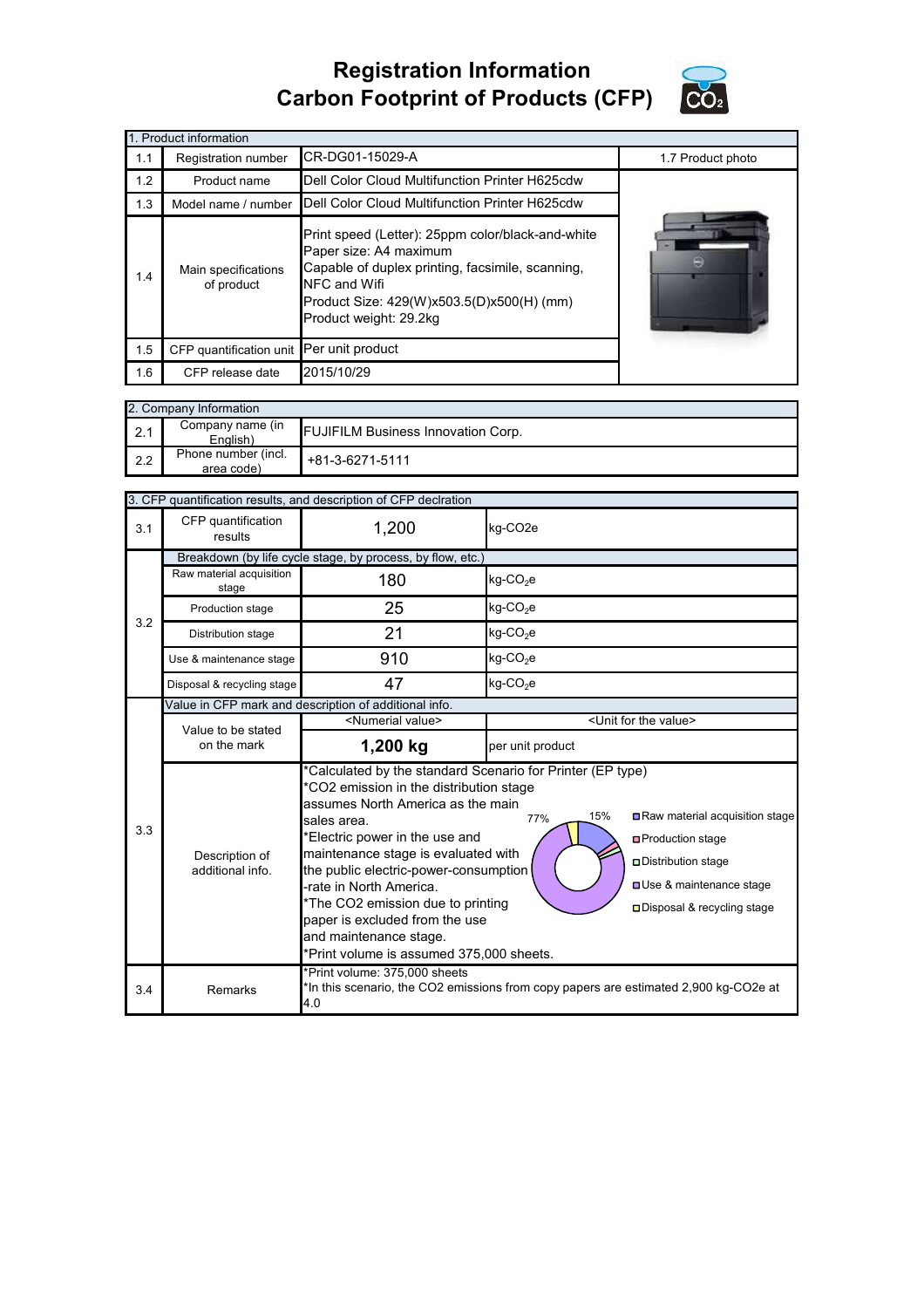## **Registration Information Carbon Footprint of Products (CFP)**



|     | 1. Product information                   |                                                                                                                                                                                                                        |  |  |  |  |  |  |
|-----|------------------------------------------|------------------------------------------------------------------------------------------------------------------------------------------------------------------------------------------------------------------------|--|--|--|--|--|--|
| 1.1 | Registration number                      | 1.7 Product photo                                                                                                                                                                                                      |  |  |  |  |  |  |
| 1.2 | Product name                             | Dell Color Cloud Multifunction Printer H625cdw                                                                                                                                                                         |  |  |  |  |  |  |
| 1.3 | Model name / number                      |                                                                                                                                                                                                                        |  |  |  |  |  |  |
| 1.4 | Main specifications<br>of product        | Print speed (Letter): 25ppm color/black-and-white<br>Paper size: A4 maximum<br>Capable of duplex printing, facsimile, scanning,<br>NFC and Wifi<br>Product Size: 429(W)x503.5(D)x500(H) (mm)<br>Product weight: 29.2kg |  |  |  |  |  |  |
| 1.5 | CFP quantification unit Per unit product |                                                                                                                                                                                                                        |  |  |  |  |  |  |
| 1.6 | CFP release date                         |                                                                                                                                                                                                                        |  |  |  |  |  |  |

|     | 2. Company Information            |                                           |  |  |  |  |
|-----|-----------------------------------|-------------------------------------------|--|--|--|--|
| 2.1 | Company name (in<br>English)      | <b>FUJIFILM Business Innovation Corp.</b> |  |  |  |  |
| 2.2 | Phone number (incl.<br>area code) | $+81-3-6271-5111$                         |  |  |  |  |

| 3. CFP quantification results, and description of CFP declration |                                                            |                                                                                                                                                                                                                                                                                                                                                                                                                                                                                                                                                                                                                          |                                      |  |  |
|------------------------------------------------------------------|------------------------------------------------------------|--------------------------------------------------------------------------------------------------------------------------------------------------------------------------------------------------------------------------------------------------------------------------------------------------------------------------------------------------------------------------------------------------------------------------------------------------------------------------------------------------------------------------------------------------------------------------------------------------------------------------|--------------------------------------|--|--|
| 3.1                                                              | CFP quantification<br>results                              | 1,200                                                                                                                                                                                                                                                                                                                                                                                                                                                                                                                                                                                                                    | kg-CO <sub>2</sub> e                 |  |  |
|                                                                  | Breakdown (by life cycle stage, by process, by flow, etc.) |                                                                                                                                                                                                                                                                                                                                                                                                                                                                                                                                                                                                                          |                                      |  |  |
|                                                                  | Raw material acquisition<br>stage                          | 180                                                                                                                                                                                                                                                                                                                                                                                                                                                                                                                                                                                                                      | kg-CO <sub>2</sub> e                 |  |  |
| 3.2                                                              | Production stage                                           | 25                                                                                                                                                                                                                                                                                                                                                                                                                                                                                                                                                                                                                       | $kg$ -CO <sub>2</sub> e              |  |  |
|                                                                  | Distribution stage                                         | 21                                                                                                                                                                                                                                                                                                                                                                                                                                                                                                                                                                                                                       | $kg$ -CO <sub>2</sub> e              |  |  |
|                                                                  | Use & maintenance stage                                    | 910                                                                                                                                                                                                                                                                                                                                                                                                                                                                                                                                                                                                                      | $kg$ -CO <sub>2</sub> e              |  |  |
|                                                                  | Disposal & recycling stage                                 | 47                                                                                                                                                                                                                                                                                                                                                                                                                                                                                                                                                                                                                       | kg-CO <sub>2</sub> e                 |  |  |
|                                                                  | Value in CFP mark and description of additional info.      |                                                                                                                                                                                                                                                                                                                                                                                                                                                                                                                                                                                                                          |                                      |  |  |
|                                                                  | Value to be stated                                         | <numerial value=""></numerial>                                                                                                                                                                                                                                                                                                                                                                                                                                                                                                                                                                                           | <unit for="" the="" value=""></unit> |  |  |
|                                                                  | on the mark                                                | 1,200 kg                                                                                                                                                                                                                                                                                                                                                                                                                                                                                                                                                                                                                 | per unit product                     |  |  |
| 3.3                                                              | Description of<br>additional info                          | *Calculated by the standard Scenario for Printer (EP type)<br>*CO2 emission in the distribution stage<br>assumes North America as the main<br>Raw material acquisition stage<br>15%<br>77%<br>sales area.<br>*Electric power in the use and<br>□ Production stage<br>maintenance stage is evaluated with<br>□ Distribution stage<br>the public electric-power-consumption<br><b>□ Use &amp; maintenance stage</b><br>-rate in North America.<br>*The CO2 emission due to printing<br>□Disposal & recycling stage<br>paper is excluded from the use<br>and maintenance stage.<br>*Print volume is assumed 375,000 sheets. |                                      |  |  |
| 3.4                                                              | Remarks                                                    | *Print volume: 375,000 sheets<br>*In this scenario, the CO2 emissions from copy papers are estimated 2,900 kg-CO2e at<br>4.0                                                                                                                                                                                                                                                                                                                                                                                                                                                                                             |                                      |  |  |